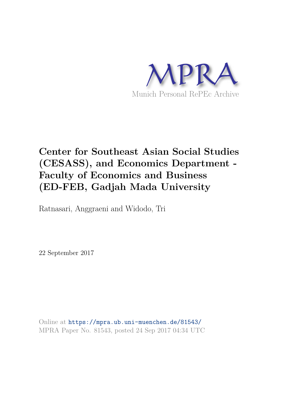

# **Center for Southeast Asian Social Studies (CESASS), and Economics Department - Faculty of Economics and Business (ED-FEB, Gadjah Mada University**

Ratnasari, Anggraeni and Widodo, Tri

22 September 2017

Online at https://mpra.ub.uni-muenchen.de/81543/ MPRA Paper No. 81543, posted 24 Sep 2017 04:34 UTC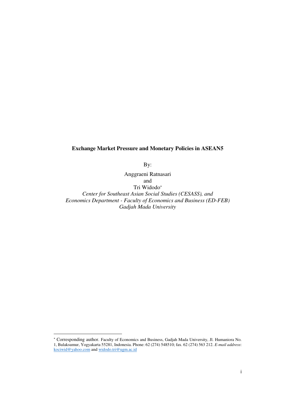## **Exchange Market Pressure and Monetary Policies in ASEAN5**

By:

Anggraeni Ratnasari and Tri Widodo *Center for Southeast Asian Social Studies (CESASS), and Economics Department - Faculty of Economics and Business (ED-FEB) Gadjah Mada University*

l

 Corresponding author. Faculty of Economics and Business, Gadjah Mada University, Jl. Humaniora No. 1, Bulaksumur, Yogyakarta 55281, Indonesia. Phone: 62 (274) 548510; fax. 62 (274) 563 212. *E-mail address*: [kociwid@yahoo.com a](mailto:kociwid@yahoo.com)nd [widodo.tri@ugm.ac.id](mailto:widodo.tri@ugm.ac.id)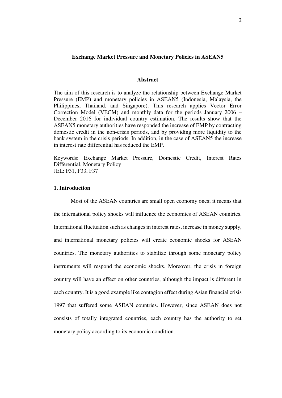#### **Exchange Market Pressure and Monetary Policies in ASEAN5**

#### **Abstract**

The aim of this research is to analyze the relationship between Exchange Market Pressure (EMP) and monetary policies in ASEAN5 (Indonesia, Malaysia, the Philippines, Thailand, and Singapore). This research applies Vector Error Correction Model (VECM) and monthly data for the periods January 2006 – December 2016 for individual country estimation. The results show that the ASEAN5 monetary authorities have responded the increase of EMP by contracting domestic credit in the non-crisis periods, and by providing more liquidity to the bank system in the crisis periods. In addition, in the case of ASEAN5 the increase in interest rate differential has reduced the EMP.

Keywords: Exchange Market Pressure, Domestic Credit, Interest Rates Differential, Monetary Policy JEL: F31, F33, F37

#### **1. Introduction**

Most of the ASEAN countries are small open economy ones; it means that the international policy shocks will influence the economies of ASEAN countries. International fluctuation such as changes in interest rates, increase in money supply, and international monetary policies will create economic shocks for ASEAN countries. The monetary authorities to stabilize through some monetary policy instruments will respond the economic shocks. Moreover, the crisis in foreign country will have an effect on other countries, although the impact is different in each country. It is a good example like contagion effect during Asian financial crisis 1997 that suffered some ASEAN countries. However, since ASEAN does not consists of totally integrated countries, each country has the authority to set monetary policy according to its economic condition.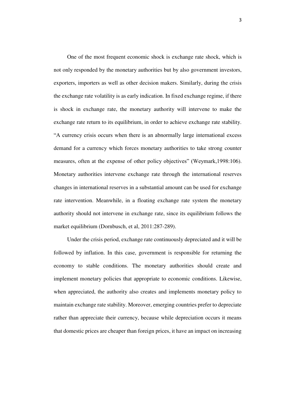One of the most frequent economic shock is exchange rate shock, which is not only responded by the monetary authorities but by also government investors, exporters, importers as well as other decision makers. Similarly, during the crisis the exchange rate volatility is as early indication. In fixed exchange regime, if there is shock in exchange rate, the monetary authority will intervene to make the exchange rate return to its equilibrium, in order to achieve exchange rate stability. "A currency crisis occurs when there is an abnormally large international excess demand for a currency which forces monetary authorities to take strong counter measures, often at the expense of other policy objectives" (Weymark,1998:106). Monetary authorities intervene exchange rate through the international reserves changes in international reserves in a substantial amount can be used for exchange rate intervention. Meanwhile, in a floating exchange rate system the monetary authority should not intervene in exchange rate, since its equilibrium follows the market equilibrium (Dornbusch, et al, 2011:287-289).

 Under the crisis period, exchange rate continuously depreciated and it will be followed by inflation. In this case, government is responsible for returning the economy to stable conditions. The monetary authorities should create and implement monetary policies that appropriate to economic conditions. Likewise, when appreciated, the authority also creates and implements monetary policy to maintain exchange rate stability. Moreover, emerging countries prefer to depreciate rather than appreciate their currency, because while depreciation occurs it means that domestic prices are cheaper than foreign prices, it have an impact on increasing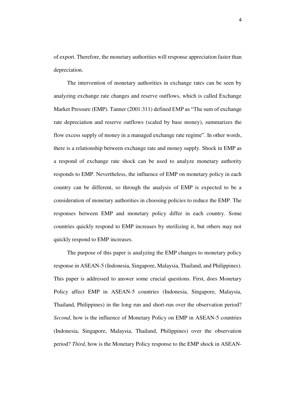of export. Therefore, the monetary authorities will response appreciation faster than depreciation.

 The intervention of monetary authorities in exchange rates can be seen by analyzing exchange rate changes and reserve outflows, which is called Exchange Market Pressure (EMP). Tanner (2001:311) defined EMP as "The sum of exchange rate depreciation and reserve outflows (scaled by base money), summarizes the flow excess supply of money in a managed exchange rate regime". In other words, there is a relationship between exchange rate and money supply. Shock in EMP as a respond of exchange rate shock can be used to analyze monetary authority responds to EMP. Nevertheless, the influence of EMP on monetary policy in each country can be different, so through the analysis of EMP is expected to be a consideration of monetary authorities in choosing policies to reduce the EMP. The responses between EMP and monetary policy differ in each country. Some countries quickly respond to EMP increases by sterilizing it, but others may not quickly respond to EMP increases.

 The purpose of this paper is analyzing the EMP changes to monetary policy response in ASEAN-5 (Indonesia, Singapore, Malaysia, Thailand, and Philippines). This paper is addressed to answer some crucial questions. First, does Monetary Policy affect EMP in ASEAN-5 countries (Indonesia, Singapore, Malaysia, Thailand, Philippines) in the long run and short-run over the observation period? *Second*, how is the influence of Monetary Policy on EMP in ASEAN-5 countries (Indonesia, Singapore, Malaysia, Thailand, Philippines) over the observation period? *Third,* how is the Monetary Policy response to the EMP shock in ASEAN-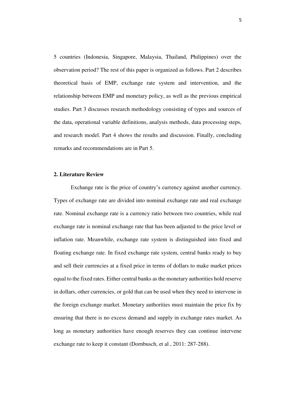5 countries (Indonesia, Singapore, Malaysia, Thailand, Philippines) over the observation period? The rest of this paper is organized as follows. Part 2 describes theoretical basis of EMP, exchange rate system and intervention, and the relationship between EMP and monetary policy, as well as the previous empirical studies. Part 3 discusses research methodology consisting of types and sources of the data, operational variable definitions, analysis methods, data processing steps, and research model. Part 4 shows the results and discussion. Finally, concluding remarks and recommendations are in Part 5.

## **2. Literature Review**

Exchange rate is the price of country's currency against another currency. Types of exchange rate are divided into nominal exchange rate and real exchange rate. Nominal exchange rate is a currency ratio between two countries, while real exchange rate is nominal exchange rate that has been adjusted to the price level or inflation rate. Meanwhile, exchange rate system is distinguished into fixed and floating exchange rate. In fixed exchange rate system, central banks ready to buy and sell their currencies at a fixed price in terms of dollars to make market prices equal to the fixed rates. Either central banks as the monetary authorities hold reserve in dollars, other currencies, or gold that can be used when they need to intervene in the foreign exchange market. Monetary authorities must maintain the price fix by ensuring that there is no excess demand and supply in exchange rates market. As long as monetary authorities have enough reserves they can continue intervene exchange rate to keep it constant (Dornbusch, et al , 2011: 287-288).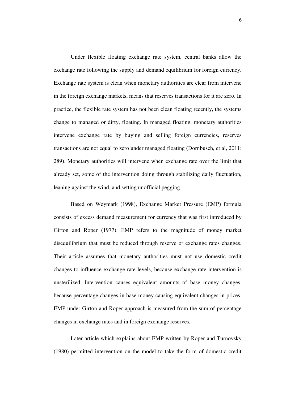Under flexible floating exchange rate system, central banks allow the exchange rate following the supply and demand equilibrium for foreign currency. Exchange rate system is clean when monetary authorities are clear from intervene in the foreign exchange markets, means that reserves transactions for it are zero. In practice, the flexible rate system has not been clean floating recently, the systems change to managed or dirty, floating. In managed floating, monetary authorities intervene exchange rate by buying and selling foreign currencies, reserves transactions are not equal to zero under managed floating (Dornbusch, et al, 2011: 289). Monetary authorities will intervene when exchange rate over the limit that already set, some of the intervention doing through stabilizing daily fluctuation, leaning against the wind, and setting unofficial pegging.

Based on Weymark (1998), Exchange Market Pressure (EMP) formula consists of excess demand measurement for currency that was first introduced by Girton and Roper (1977). EMP refers to the magnitude of money market disequilibrium that must be reduced through reserve or exchange rates changes. Their article assumes that monetary authorities must not use domestic credit changes to influence exchange rate levels, because exchange rate intervention is unsterilized. Intervention causes equivalent amounts of base money changes, because percentage changes in base money causing equivalent changes in prices. EMP under Girton and Roper approach is measured from the sum of percentage changes in exchange rates and in foreign exchange reserves.

 Later article which explains about EMP written by Roper and Turnovsky (1980) permitted intervention on the model to take the form of domestic credit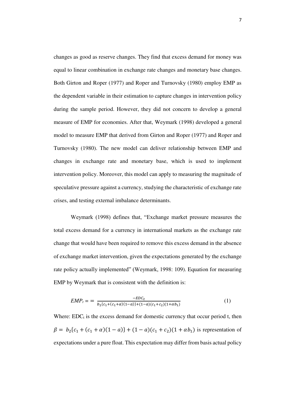changes as good as reserve changes. They find that excess demand for money was equal to linear combination in exchange rate changes and monetary base changes. Both Girton and Roper (1977) and Roper and Turnovsky (1980) employ EMP as the dependent variable in their estimation to capture changes in intervention policy during the sample period. However, they did not concern to develop a general measure of EMP for economies. After that, Weymark (1998) developed a general model to measure EMP that derived from Girton and Roper (1977) and Roper and Turnovsky (1980). The new model can deliver relationship between EMP and changes in exchange rate and monetary base, which is used to implement intervention policy. Moreover, this model can apply to measuring the magnitude of speculative pressure against a currency, studying the characteristic of exchange rate crises, and testing external imbalance determinants.

Weymark (1998) defines that, "Exchange market pressure measures the total excess demand for a currency in international markets as the exchange rate change that would have been required to remove this excess demand in the absence of exchange market intervention, given the expectations generated by the exchange rate policy actually implemented" (Weymark, 1998: 109). Equation for measuring EMP by Weymark that is consistent with the definition is:

$$
EMP_t = \frac{-EDc_t}{b_2\{c_1 + (c_1 + \alpha)(1 - a)\} + (1 - a)(c_1 + c_2)(1 + \alpha b_1)}
$$
(1)

Where:  $EDC<sub>t</sub>$  is the excess demand for domestic currency that occur period t, then  $\beta = b_2(c_1 + (c_1 + \alpha)(1 - \alpha)) + (1 - \alpha)(c_1 + c_2)(1 + \alpha b_1)$  is representation of expectations under a pure float. This expectation may differ from basis actual policy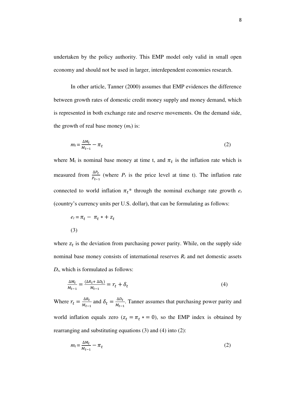undertaken by the policy authority. This EMP model only valid in small open economy and should not be used in larger, interdependent economies research.

 In other article, Tanner (2000) assumes that EMP evidences the difference between growth rates of domestic credit money supply and money demand, which is represented in both exchange rate and reserve movements. On the demand side, the growth of real base money (*mt*) is:

$$
m_t = \frac{\Delta M_t}{M_{t-1}} - \pi_t \tag{2}
$$

where  $M_t$  is nominal base money at time t, and  $\pi_t$  is the inflation rate which is measured from  $\frac{\Delta P_t}{P_{t-1}}$  (where  $P_t$  is the price level at time t). The inflation rate connected to world inflation  $\pi_t^*$  through the nominal exchange rate growth  $e_t$ (country's currency units per U.S. dollar), that can be formulating as follows:

$$
e_t = \pi_t - \pi_t * + z_t
$$
  
(3)

where  $z_t$  is the deviation from purchasing power parity. While, on the supply side nominal base money consists of international reserves *Rt* and net domestic assets *Dt*, which is formulated as follows:

$$
\frac{\Delta M_t}{M_{t-1}} = \frac{(\Delta R_t + \Delta D_t)}{M_{t-1}} = r_t + \delta_t \tag{4}
$$

Where  $r_t = \frac{\Delta R_t}{M_{t-1}}$  $\frac{\Delta R_t}{M_{t-1}}$  and  $\delta_t = \frac{\Delta D_t}{M_{t-1}}$  $\frac{\Delta D_t}{M_{t-1}}$ . Tanner assumes that purchasing power parity and world inflation equals zero  $(z_t = \pi_t \cdot x = 0)$ , so the EMP index is obtained by rearranging and substituting equations (3) and (4) into (2):

$$
m_t = \frac{\Delta M_t}{M_{t-1}} - \pi_t \tag{2}
$$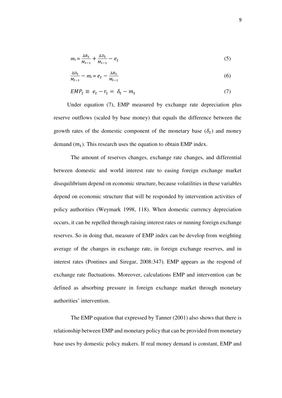$$
m_t = \frac{\Delta R_t}{M_{t-1}} + \frac{\Delta D_t}{M_{t-1}} - e_t \tag{5}
$$

$$
\frac{\Delta D_t}{M_{t-1}} - m_t = e_t - \frac{\Delta R_t}{M_{t-1}}
$$
\n
$$
\tag{6}
$$

$$
EMP_t \equiv e_t - r_t = \delta_t - m_t \tag{7}
$$

 Under equation (7), EMP measured by exchange rate depreciation plus reserve outflows (scaled by base money) that equals the difference between the growth rates of the domestic component of the monetary base  $(\delta_t)$  and money demand  $(m_t)$ . This research uses the equation to obtain EMP index.

The amount of reserves changes, exchange rate changes, and differential between domestic and world interest rate to easing foreign exchange market disequilibrium depend on economic structure, because volatilities in these variables depend on economic structure that will be responded by intervention activities of policy authorities (Weymark 1998, 118). When domestic currency depreciation occurs, it can be repelled through raising interest rates or running foreign exchange reserves. So in doing that, measure of EMP index can be develop from weighting average of the changes in exchange rate, in foreign exchange reserves, and in interest rates (Pontines and Siregar, 2008:347). EMP appears as the respond of exchange rate fluctuations. Moreover, calculations EMP and intervention can be defined as absorbing pressure in foreign exchange market through monetary authorities' intervention.

 The EMP equation that expressed by Tanner (2001) also shows that there is relationship between EMP and monetary policy that can be provided from monetary base uses by domestic policy makers. If real money demand is constant, EMP and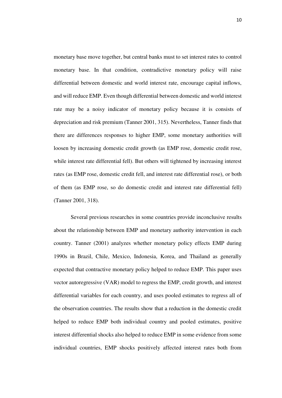monetary base move together, but central banks must to set interest rates to control monetary base. In that condition, contradictive monetary policy will raise differential between domestic and world interest rate, encourage capital inflows, and will reduce EMP. Even though differential between domestic and world interest rate may be a noisy indicator of monetary policy because it is consists of depreciation and risk premium (Tanner 2001, 315). Nevertheless, Tanner finds that there are differences responses to higher EMP, some monetary authorities will loosen by increasing domestic credit growth (as EMP rose, domestic credit rose, while interest rate differential fell). But others will tightened by increasing interest rates (as EMP rose, domestic credit fell, and interest rate differential rose), or both of them (as EMP rose, so do domestic credit and interest rate differential fell) (Tanner 2001, 318).

Several previous researches in some countries provide inconclusive results about the relationship between EMP and monetary authority intervention in each country. Tanner (2001) analyzes whether monetary policy effects EMP during 1990s in Brazil, Chile, Mexico, Indonesia, Korea, and Thailand as generally expected that contractive monetary policy helped to reduce EMP. This paper uses vector autoregressive (VAR) model to regress the EMP, credit growth, and interest differential variables for each country, and uses pooled estimates to regress all of the observation countries. The results show that a reduction in the domestic credit helped to reduce EMP both individual country and pooled estimates, positive interest differential shocks also helped to reduce EMP in some evidence from some individual countries, EMP shocks positively affected interest rates both from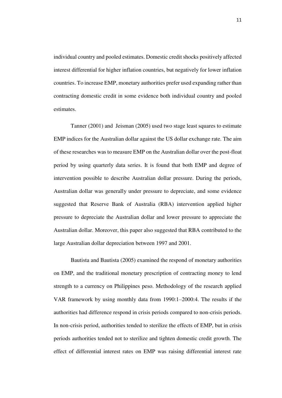individual country and pooled estimates. Domestic credit shocks positively affected interest differential for higher inflation countries, but negatively for lower inflation countries. To increase EMP, monetary authorities prefer used expanding rather than contracting domestic credit in some evidence both individual country and pooled estimates.

 Tanner (2001) and Jeisman (2005) used two stage least squares to estimate EMP indices for the Australian dollar against the US dollar exchange rate. The aim of these researches was to measure EMP on the Australian dollar over the post-float period by using quarterly data series. It is found that both EMP and degree of intervention possible to describe Australian dollar pressure. During the periods, Australian dollar was generally under pressure to depreciate, and some evidence suggested that Reserve Bank of Australia (RBA) intervention applied higher pressure to depreciate the Australian dollar and lower pressure to appreciate the Australian dollar. Moreover, this paper also suggested that RBA contributed to the large Australian dollar depreciation between 1997 and 2001.

Bautista and Bautista (2005) examined the respond of monetary authorities on EMP, and the traditional monetary prescription of contracting money to lend strength to a currency on Philippines peso. Methodology of the research applied VAR framework by using monthly data from 1990:1–2000:4. The results if the authorities had difference respond in crisis periods compared to non-crisis periods. In non-crisis period, authorities tended to sterilize the effects of EMP, but in crisis periods authorities tended not to sterilize and tighten domestic credit growth. The effect of differential interest rates on EMP was raising differential interest rate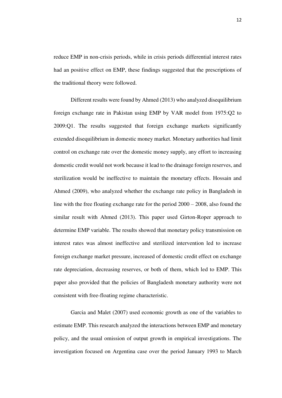reduce EMP in non-crisis periods, while in crisis periods differential interest rates had an positive effect on EMP, these findings suggested that the prescriptions of the traditional theory were followed.

 Different results were found by Ahmed (2013) who analyzed disequilibrium foreign exchange rate in Pakistan using EMP by VAR model from 1975:Q2 to 2009:Q1. The results suggested that foreign exchange markets significantly extended disequilibrium in domestic money market. Monetary authorities had limit control on exchange rate over the domestic money supply, any effort to increasing domestic credit would not work because it lead to the drainage foreign reserves, and sterilization would be ineffective to maintain the monetary effects. Hossain and Ahmed (2009), who analyzed whether the exchange rate policy in Bangladesh in line with the free floating exchange rate for the period 2000 – 2008, also found the similar result with Ahmed (2013). This paper used Girton-Roper approach to determine EMP variable. The results showed that monetary policy transmission on interest rates was almost ineffective and sterilized intervention led to increase foreign exchange market pressure, increased of domestic credit effect on exchange rate depreciation, decreasing reserves, or both of them, which led to EMP. This paper also provided that the policies of Bangladesh monetary authority were not consistent with free-floating regime characteristic.

 Garcia and Malet (2007) used economic growth as one of the variables to estimate EMP. This research analyzed the interactions between EMP and monetary policy, and the usual omission of output growth in empirical investigations. The investigation focused on Argentina case over the period January 1993 to March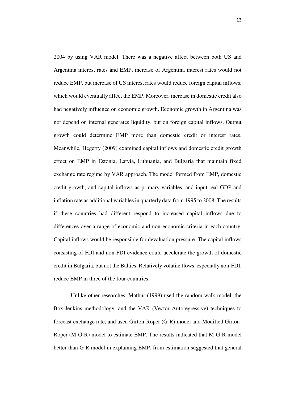2004 by using VAR model. There was a negative affect between both US and Argentina interest rates and EMP, increase of Argentina interest rates would not reduce EMP, but increase of US interest rates would reduce foreign capital inflows, which would eventually affect the EMP. Moreover, increase in domestic credit also had negatively influence on economic growth. Economic growth in Argentina was not depend on internal generates liquidity, but on foreign capital inflows. Output growth could determine EMP more than domestic credit or interest rates. Meanwhile, Hegerty (2009) examined capital inflows and domestic credit growth effect on EMP in Estonia, Latvia, Lithuania, and Bulgaria that maintain fixed exchange rate regime by VAR approach. The model formed from EMP, domestic credit growth, and capital inflows as primary variables, and input real GDP and inflation rate as additional variables in quarterly data from 1995 to 2008. The results if these countries had different respond to increased capital inflows due to differences over a range of economic and non-economic criteria in each country. Capital inflows would be responsible for devaluation pressure. The capital inflows consisting of FDI and non-FDI evidence could accelerate the growth of domestic credit in Bulgaria, but not the Baltics. Relatively volatile flows, especially non-FDI, reduce EMP in three of the four countries.

 Unlike other researches, Mathur (1999) used the random walk model, the Box-Jenkins methodology, and the VAR (Vector Autoregressive) techniques to forecast exchange rate, and used Girton-Roper (G-R) model and Modified Girton-Roper (M-G-R) model to estimate EMP. The results indicated that M-G-R model better than G-R model in explaining EMP, from estimation suggested that general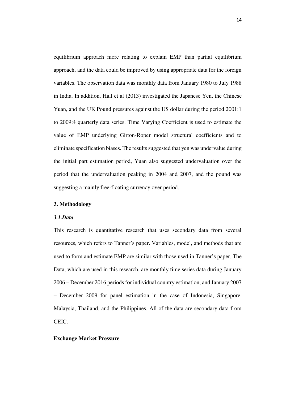equilibrium approach more relating to explain EMP than partial equilibrium approach, and the data could be improved by using appropriate data for the foreign variables. The observation data was monthly data from January 1980 to July 1988 in India. In addition, Hall et al (2013) investigated the Japanese Yen, the Chinese Yuan, and the UK Pound pressures against the US dollar during the period 2001:1 to 2009:4 quarterly data series. Time Varying Coefficient is used to estimate the value of EMP underlying Girton-Roper model structural coefficients and to eliminate specification biases. The results suggested that yen was undervalue during the initial part estimation period, Yuan also suggested undervaluation over the period that the undervaluation peaking in 2004 and 2007, and the pound was suggesting a mainly free-floating currency over period.

#### **3. Methodology**

## *3.1.Data*

This research is quantitative research that uses secondary data from several resources, which refers to Tanner's paper. Variables, model, and methods that are used to form and estimate EMP are similar with those used in Tanner's paper. The Data, which are used in this research, are monthly time series data during January 2006 – December 2016 periods for individual country estimation, and January 2007 – December 2009 for panel estimation in the case of Indonesia, Singapore, Malaysia, Thailand, and the Philippines. All of the data are secondary data from CEIC.

## **Exchange Market Pressure**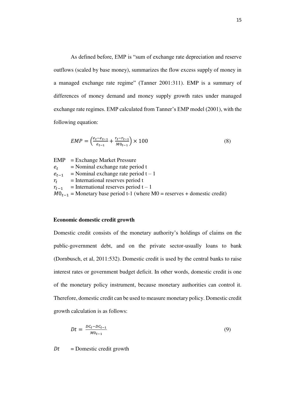As defined before, EMP is "sum of exchange rate depreciation and reserve outflows (scaled by base money), summarizes the flow excess supply of money in a managed exchange rate regime" (Tanner 2001:311). EMP is a summary of differences of money demand and money supply growth rates under managed exchange rate regimes. EMP calculated from Tanner's EMP model (2001), with the following equation:

$$
EMP = \left(\frac{e_t - e_{t-1}}{e_{t-1}} + \frac{r_t - r_{t-1}}{M0_{t-1}}\right) \times 100\tag{8}
$$

EMP = Exchange Market Pressure  $e_t$ <br> $e_{t-1}$  = Nominal exchange rate period t  $=$  Nominal exchange rate period t – 1  $r_t$  = International reserves period t  $r_{t-1}$  = International reserves period t – 1  $MO_{t-1}$  = Monetary base period t-1 (where M0 = reserves + domestic credit)

## **Economic domestic credit growth**

Domestic credit consists of the monetary authority's holdings of claims on the public-government debt, and on the private sector-usually loans to bank (Dornbusch, et al, 2011:532). Domestic credit is used by the central banks to raise interest rates or government budget deficit. In other words, domestic credit is one of the monetary policy instrument, because monetary authorities can control it. Therefore, domestic credit can be used to measure monetary policy. Domestic credit growth calculation is as follows:

$$
Dt = \frac{DC_t - DC_{t-1}}{MO_{t-1}}\tag{9}
$$

 $Dt =$  Domestic credit growth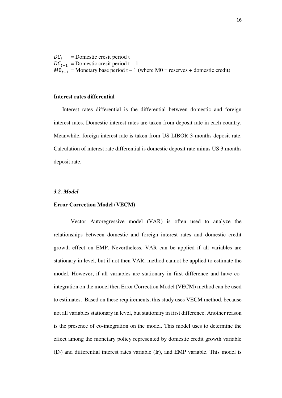$DC_t$  = Domestic cresit period t  $DC_{t-1}$  = Domestic cresit period t – 1  $MO_{t-1}$  = Monetary base period t – 1 (where M0 = reserves + domestic credit)

#### **Interest rates differential**

Interest rates differential is the differential between domestic and foreign interest rates. Domestic interest rates are taken from deposit rate in each country. Meanwhile, foreign interest rate is taken from US LIBOR 3-months deposit rate. Calculation of interest rate differential is domestic deposit rate minus US 3.months deposit rate.

## *3.2. Model*

## **Error Correction Model (VECM)**

Vector Autoregressive model (VAR) is often used to analyze the relationships between domestic and foreign interest rates and domestic credit growth effect on EMP. Nevertheless, VAR can be applied if all variables are stationary in level, but if not then VAR, method cannot be applied to estimate the model. However, if all variables are stationary in first difference and have cointegration on the model then Error Correction Model (VECM) method can be used to estimates. Based on these requirements, this study uses VECM method, because not all variables stationary in level, but stationary in first difference. Another reason is the presence of co-integration on the model. This model uses to determine the effect among the monetary policy represented by domestic credit growth variable  $(D<sub>t</sub>)$  and differential interest rates variable (Ir), and EMP variable. This model is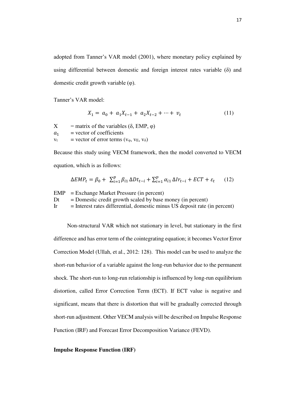adopted from Tanner's VAR model (2001), where monetary policy explained by using differential between domestic and foreign interest rates variable (δ) and domestic credit growth variable (φ).

Tanner's VAR model:

$$
X_1 = a_0 + a_1 X_{t-1} + a_2 X_{t-2} + \dots + v_t \tag{11}
$$

 $X =$  matrix of the variables ( $\delta$ , EMP,  $\varphi$ )  $a_1$  = vector of coefficients<br>  $v_t$  = vector of error terms = vector of error terms ( $v_{\varphi}$ ,  $v_E$ ,  $v_{\delta}$ )

Because this study using VECM framework, then the model converted to VECM equation, which is as follows:

$$
\Delta EMP_t = \beta_0 + \sum_{i=1}^p \beta_{i1} \Delta Dt_{t-i} + \sum_{i=1}^p \alpha_{i1} \Delta Ir_{t-i} + ECT + \varepsilon_t \tag{12}
$$

EMP = Exchange Market Pressure (in percent)  $Dt =$  Domestic credit growth scaled by base money (in percent)  $Ir = Interest \n rates differential, domestic \n minus US \n deposit rate (in percent)$ 

Non-structural VAR which not stationary in level, but stationary in the first difference and has error term of the cointegrating equation; it becomes Vector Error Correction Model (Ullah, et al., 2012: 128). This model can be used to analyze the short-run behavior of a variable against the long-run behavior due to the permanent shock. The short-run to long-run relationship is influenced by long-run equilibrium distortion, called Error Correction Term (ECT). If ECT value is negative and significant, means that there is distortion that will be gradually corrected through short-run adjustment. Other VECM analysis will be described on Impulse Response Function (IRF) and Forecast Error Decomposition Variance (FEVD).

#### **Impulse Response Function (IRF)**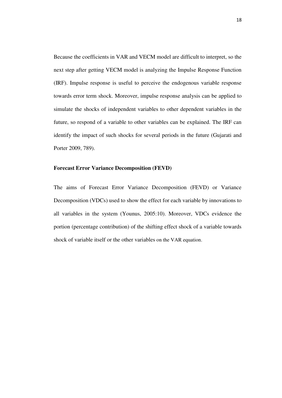Because the coefficients in VAR and VECM model are difficult to interpret, so the next step after getting VECM model is analyzing the Impulse Response Function (IRF). Impulse response is useful to perceive the endogenous variable response towards error term shock. Moreover, impulse response analysis can be applied to simulate the shocks of independent variables to other dependent variables in the future, so respond of a variable to other variables can be explained. The IRF can identify the impact of such shocks for several periods in the future (Gujarati and Porter 2009, 789).

## **Forecast Error Variance Decomposition (FEVD)**

The aims of Forecast Error Variance Decomposition (FEVD) or Variance Decomposition (VDCs) used to show the effect for each variable by innovations to all variables in the system (Younus, 2005:10). Moreover, VDCs evidence the portion (percentage contribution) of the shifting effect shock of a variable towards shock of variable itself or the other variables on the VAR equation.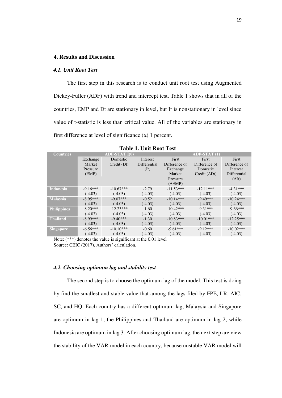## **4. Results and Discussion**

#### *4.1. Unit Root Test*

 The first step in this research is to conduct unit root test using Augmented Dickey-Fuller (ADF) with trend and intercept test. Table 1 shows that in all of the countries, EMP and Dt are stationary in level, but Ir is nonstationary in level since value of t-statistic is less than critical value. All of the variables are stationary in first difference at level of significance  $(\alpha)$  1 percent.

| <b>Countries</b>   |            | <b>ADF-STAT I(0)</b> |               | <b>ADF-STAT (1)</b> |                      |                      |  |
|--------------------|------------|----------------------|---------------|---------------------|----------------------|----------------------|--|
|                    | Exchange   | Domestic             | Interest      | First               | First                | First                |  |
|                    | Market     | Credit (Dt)          | Differential  | Difference of       | Difference of        | Difference of        |  |
|                    | Pressure   |                      | $(\text{Ir})$ | Exchange            | Domestic             | Interest             |  |
|                    | (EMP)      |                      |               | Market              | Credit $(\Delta Dt)$ | Differential         |  |
|                    |            |                      |               | Pressure            |                      | $(\Delta \text{Ir})$ |  |
|                    |            |                      |               | $(\Delta EMP)$      |                      |                      |  |
| <b>Indonesia</b>   | $-9.16***$ | $-10.67***$          | $-2.79$       | $-11.53***$         | $-12.11***$          | $-4.31***$           |  |
|                    | $(-4.03)$  | $(-4.03)$            | $(-4.03)$     | $(-4.03)$           | $(-4.03)$            | $(-4.03)$            |  |
| <b>Malaysia</b>    | $-8.95***$ | $-9.07***$           | $-0.52$       | $-10.14***$         | $-9.49***$           | $-10.24***$          |  |
|                    | $(-4.03)$  | $(-4.03)$            | $(-4.03)$     | $(-4.03)$           | $(-4.03)$            | $(-4.03)$            |  |
| <b>Philippines</b> | $-8.20***$ | $-12.23***$          | $-1.60$       | $-10.42***$         | $-9.31***$           | $-9.66***$           |  |
|                    | $(-4.03)$  | $(-4.03)$            | $(-4.03)$     | $(-4.03)$           | $(-4.03)$            | $(-4.03)$            |  |
| <b>Thailand</b>    | $-8.99***$ | $-9.40***$           | $-1.30$       | $-10.83***$         | $-10.01***$          | $-12.25***$          |  |
|                    | $(-4.03)$  | $(-4.03)$            | $(-4.03)$     | $(-4.03)$           | $(-4.03)$            | $(-4.03)$            |  |
| <b>Singapore</b>   | $-6.56***$ | $-10.10***$          | $-0.60$       | $-9.61***$          | $-9.12***$           | $-10.02***$          |  |
|                    | $(-4.03)$  | $(-4.03)$            | $(-4.03)$     | $(-4.03)$           | $(-4.03)$            | $(-4.03)$            |  |

**Table 1. Unit Root Test** 

Note: (\*\*\*) denotes the value is significant at the 0.01 level Source: CEIC (2017), Authors' calculation.

## *4.2. Choosing optimum lag and stability test*

 The second step is to choose the optimum lag of the model. This test is doing by find the smallest and stable value that among the lags filed by FPE, LR, AIC, SC, and HQ. Each country has a different optimum lag, Malaysia and Singapore are optimum in lag 1, the Philippines and Thailand are optimum in lag 2, while Indonesia are optimum in lag 3. After choosing optimum lag, the next step are view the stability of the VAR model in each country, because unstable VAR model will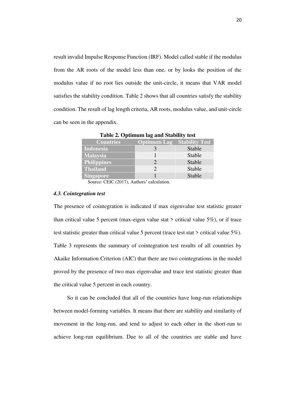result invalid Impulse Response Function (IRF). Model called stable if the modulus from the AR roots of the model less than one, or by looks the position of the modulus value if no root lies outside the unit-circle, it means that VAR model satisfies the stability condition. Table 2 shows that all countries satisfy the stability condition. The result of lag length criteria, AR roots, modulus value, and unit-circle can be seen in the appendix.

| $\frac{1}{2}$ and $\frac{1}{2}$ . Optimally $\frac{1}{2}$ and $\frac{1}{2}$ and $\frac{1}{2}$ and $\frac{1}{2}$ |                                   |        |  |  |  |  |  |  |
|-----------------------------------------------------------------------------------------------------------------|-----------------------------------|--------|--|--|--|--|--|--|
| <b>Countries</b>                                                                                                | <b>Optimum Lag Stability Test</b> |        |  |  |  |  |  |  |
| Indonesia                                                                                                       |                                   | Stable |  |  |  |  |  |  |
| <b>Malaysia</b>                                                                                                 |                                   | Stable |  |  |  |  |  |  |
| <b>Philippines</b>                                                                                              |                                   | Stable |  |  |  |  |  |  |
| <b>Thailand</b>                                                                                                 |                                   | Stable |  |  |  |  |  |  |
| <b>Singapore</b>                                                                                                |                                   | Stable |  |  |  |  |  |  |

**Table 2. Optimum lag and Stability test** 

Source: CEIC (2017), Authors' calculation.

## *4.3. Cointegration test*

The presence of cointegration is indicated if max eigenvalue test statistic greater than critical value 5 percent (max-eigen value stat  $>$  critical value 5%), or if trace test statistic greater than critical value 5 percent (trace test stat > critical value 5%). Table 3 represents the summary of cointegration test results of all countries by Akaike Information Criterion (AIC) that there are two cointegrations in the model proved by the presence of two max eigenvalue and trace test statistic greater than the critical value 5 percent in each country.

 So it can be concluded that all of the countries have long-run relationships between model-forming variables. It means that there are stability and similarity of movement in the long-run, and tend to adjust to each other in the short-run to achieve long-run equilibrium. Due to all of the countries are stable and have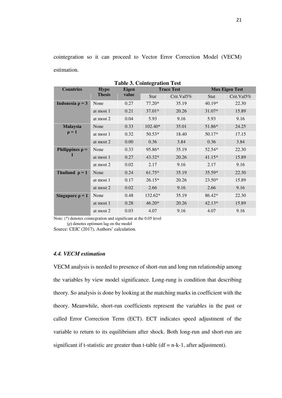cointegration so it can proceed to Vector Error Correction Model (VECM) estimation.

| <b>Table 3. Cointegration Test</b> |               |             |               |                       |               |  |  |
|------------------------------------|---------------|-------------|---------------|-----------------------|---------------|--|--|
| <b>Hypo</b>                        | <b>Eigen</b>  |             |               | <b>Max Eigen Test</b> |               |  |  |
|                                    |               | <b>Stat</b> | $Crit.Va15\%$ | <b>Stat</b>           | $Crit.Va15\%$ |  |  |
| None                               | 0.27          | 77.20*      | 35.19         | $40.19*$              | 22.30         |  |  |
| at most 1                          | 0.21          | 37.01*      | 20.26         | 31.07*                | 15.89         |  |  |
| at most 2                          | 0.04          | 5.93        | 9.16          | 5.93                  | 9.16          |  |  |
| None                               | 0.33          | 102.40*     | 35.01         | 51.86*                | 24.25         |  |  |
| at most 1                          | 0.32          | 50.53*      | 18.40         | 50.17*                | 17.15         |  |  |
| at most 2                          | 0.00          | 0.36        | 3.84          | 0.36                  | 3.84          |  |  |
| None                               | 0.33          | 95.86*      | 35.19         | 52.54*                | 22.30         |  |  |
| at most 1                          | 0.27          | $43.32*$    | 20.26         | $41.15*$              | 15.89         |  |  |
| at most 2                          | 0.02          | 2.17        | 9.16          | 2.17                  | 9.16          |  |  |
| None                               | 0.24          | $61.75*$    | 35.19         | 35.59*                | 22.30         |  |  |
| at most 1                          | 0.17          | $26.15*$    | 20.26         | $23.50*$              | 15.89         |  |  |
| at most 2                          | 0.02          | 2.66        | 9.16          | 2.66                  | 9.16          |  |  |
| None                               | 0.48          | 132.62*     | 35.19         | 86.42*                | 22.30         |  |  |
| at most 1                          | 0.28          | $46.20*$    | 20.26         | $42.13*$              | 15.89         |  |  |
| at most 2                          | 0.03          | 4.07        | 9.16          | 4.07                  | 9.16          |  |  |
|                                    | <b>Thesis</b> | value       |               | <b>Trace Test</b>     |               |  |  |

Note: (\*) denotes cointegration and significant at the 0.05 level

(ρ) denotes optimum lag on the model

Source: CEIC (2017), Authors' calculation.

#### *4.4. VECM estimation*

VECM analysis is needed to presence of short-run and long run relationship among the variables by view model significance. Long-rung is condition that describing theory. So analysis is done by looking at the matching marks in coefficient with the theory. Meanwhile, short-run coefficients represent the variables in the past or called Error Correction Term (ECT). ECT indicates speed adjustment of the variable to return to its equilibrium after shock. Both long-run and short-run are significant if t-statistic are greater than t-table  $(df = n-k-1)$ , after adjustment).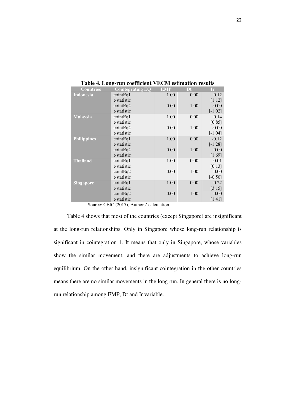| <b>Countries</b>   | <b>Cointegrating EQ</b> | <b>EMP</b> | Dt   | Ir.       |
|--------------------|-------------------------|------------|------|-----------|
| <b>Indonesia</b>   | cointEq1                | 1.00       | 0.00 | 0.12      |
|                    | t-statistic             |            |      | [1.12]    |
|                    | cointEq2                | 0.00       | 1.00 | $-0.00$   |
|                    | t-statistic             |            |      | $[-1.02]$ |
| Malaysia           | cointEq1                | 1.00       | 0.00 | 0.14      |
|                    | t-statistic             |            |      | [0.85]    |
|                    | cointEq2                | 0.00       | 1.00 | $-0.00$   |
|                    | t-statistic             |            |      | $[-1.04]$ |
| <b>Philippines</b> | cointEq1                | 1.00       | 0.00 | $-0.12$   |
|                    | t-statistic             |            |      | $[-1.28]$ |
|                    | cointEq2                | 0.00       | 1.00 | 0.00      |
|                    | t-statistic             |            |      | [1.69]    |
| <b>Thailand</b>    | cointEq1                | 1.00       | 0.00 | $-0.01$   |
|                    | t-statistic             |            |      | [0.13]    |
|                    | cointEq2                | 0.00       | 1.00 | 0.00      |
|                    | t-statistic             |            |      | $[-0.50]$ |
| <b>Singapore</b>   | $\text{cointEq1}$       | 1.00       | 0.00 | 0.22      |
|                    | t-statistic             |            |      | [3.15]    |
|                    | cointEq2                | 0.00       | 1.00 | 0.00      |
|                    | t-statistic             |            |      | [1.41]    |

**Table 4. Long-run coefficient VECM estimation results** 

Source: CEIC (2017), Authors' calculation.

 Table 4 shows that most of the countries (except Singapore) are insignificant at the long-run relationships. Only in Singapore whose long-run relationship is significant in cointegration 1. It means that only in Singapore, whose variables show the similar movement, and there are adjustments to achieve long-run equilibrium. On the other hand, insignificant cointegration in the other countries means there are no similar movements in the long run. In general there is no longrun relationship among EMP, Dt and Ir variable.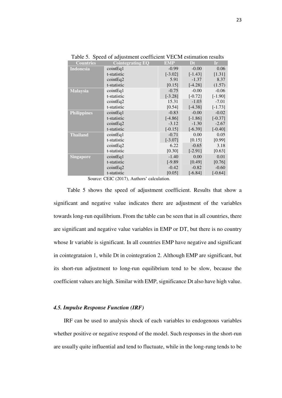| <b>Countries</b>   | <b>Cointegrating EQ</b> | <b>EMP</b> | Dt        | Ir.       |
|--------------------|-------------------------|------------|-----------|-----------|
| <b>Indonesia</b>   | cointEq1                | $-0.99$    | $-0.00$   | 0.06      |
|                    | t-statistic             | $[-3.02]$  | $[-1.43]$ | [1.31]    |
|                    | $\text{cointEq2}$       | 5.91       | $-1.37$   | 8.37      |
|                    | t-statistic             | [0.15]     | $[-4.28]$ | (1.57)    |
| <b>Malaysia</b>    | cointEq1                | $-0.75$    | $-0.00$   | $-0.06$   |
|                    | t-statistic             | $[-3.28]$  | $[-0.72]$ | $[-1.90]$ |
|                    | $\text{cointEq2}$       | 15.31      | $-1.03$   | $-7.01$   |
|                    | t-statistic             | [0.54]     | $[-4.38]$ | $[-1.73]$ |
| <b>Philippines</b> | cointEq1                | $-0.83$    | $-0.00$   | $-0.02$   |
|                    | t-statistic             | $[-4.86]$  | $[-1.86]$ | $[-0.37]$ |
|                    | $\text{cointEq2}$       | $-3.12$    | $-1.30$   | $-2.67$   |
|                    | t-statistic             | $[-0.15]$  | $[-6.39]$ | $[-0.40]$ |
| <b>Thailand</b>    | cointEq1                | $-0.71$    | 0.00      | 0.05      |
|                    | t-statistic             | $[-3.07]$  | [0.15]    | [0.99]    |
|                    | cointEq2                | 6.22       | $-0.65$   | 3.18      |
|                    | t-statistic             | [0.30]     | $[-2.91]$ | [0.63]    |
| <b>Singapore</b>   | cointEq1                | $-1.40$    | 0.00      | 0.01      |
|                    | t-statistic             | $[-9.89]$  | [0.49]    | [0.76]    |
|                    | cointEq2                | $-0.42$    | $-0.82$   | $-0.60$   |
|                    | t-statistic             | [0.05]     | $[-6.84]$ | $[-0.64]$ |

Table 5. Speed of adjustment coefficient VECM estimation results

Source: CEIC (2017), Authors' calculation.

 Table 5 shows the speed of adjustment coefficient. Results that show a significant and negative value indicates there are adjustment of the variables towards long-run equilibrium. From the table can be seen that in all countries, there are significant and negative value variables in EMP or DT, but there is no country whose Ir variable is significant. In all countries EMP have negative and significant in cointegrataion 1, while Dt in cointegration 2. Although EMP are significant, but its short-run adjustment to long-run equilibrium tend to be slow, because the coefficient values are high. Similar with EMP, significance Dt also have high value.

#### *4.5. Impulse Response Function (IRF)*

IRF can be used to analysis shock of each variables to endogenous variables whether positive or negative respond of the model. Such responses in the short-run are usually quite influential and tend to fluctuate, while in the long-rung tends to be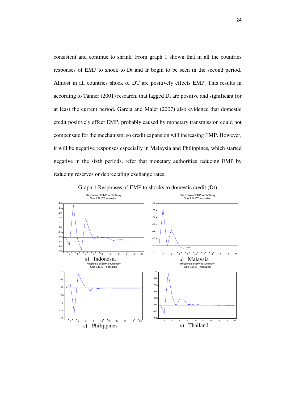consistent and continue to shrink. From graph 1 shown that in all the countries responses of EMP to shock to Dt and Ir begin to be seen in the second period. Almost in all countries shock of DT are positively effects EMP. This results in according to Tanner (2001) research, that lagged Dt are positive and significant for at least the current period. Garcia and Malet (2007) also evidence that domestic credit positively effect EMP, probably caused by monetary transmission could not compensate for the mechanism, so credit expansion will increasing EMP. However, it will be negative responses especially in Malaysia and Philippines, which started negative in the sixth periods, refer that monetary authorities reducing EMP by reducing reserves or depreciating exchange rates.



Graph 1 Responses of EMP to shocks to domestic credit (Dt)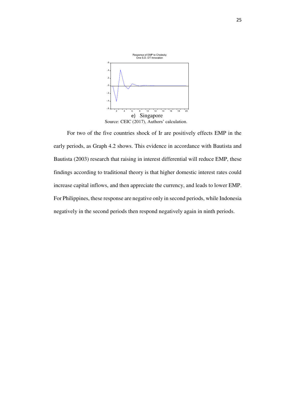

 For two of the five countries shock of Ir are positively effects EMP in the early periods, as Graph 4.2 shows. This evidence in accordance with Bautista and Bautista (2003) research that raising in interest differential will reduce EMP, these findings according to traditional theory is that higher domestic interest rates could increase capital inflows, and then appreciate the currency, and leads to lower EMP. For Philippines, these response are negative only in second periods, while Indonesia negatively in the second periods then respond negatively again in ninth periods.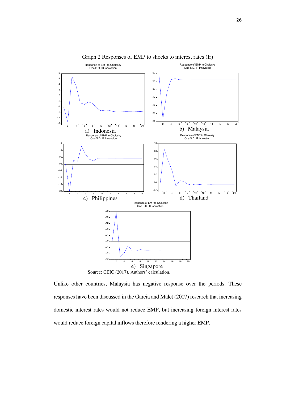

Graph 2 Responses of EMP to shocks to interest rates (Ir)

Unlike other countries, Malaysia has negative response over the periods. These responses have been discussed in the Garcia and Malet (2007) research that increasing domestic interest rates would not reduce EMP, but increasing foreign interest rates would reduce foreign capital inflows therefore rendering a higher EMP.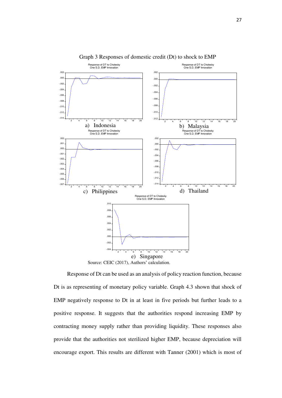

Graph 3 Responses of domestic credit (Dt) to shock to EMP

Source: CEIC (2017), Authors' calculation.

 Response of Dt can be used as an analysis of policy reaction function, because Dt is as representing of monetary policy variable. Graph 4.3 shown that shock of EMP negatively response to Dt in at least in five periods but further leads to a positive response. It suggests that the authorities respond increasing EMP by contracting money supply rather than providing liquidity. These responses also provide that the authorities not sterilized higher EMP, because depreciation will encourage export. This results are different with Tanner (2001) which is most of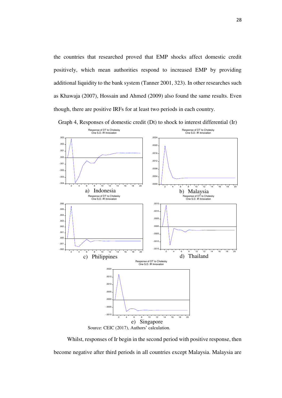the countries that researched proved that EMP shocks affect domestic credit positively, which mean authorities respond to increased EMP by providing additional liquidity to the bank system (Tanner 2001, 323). In other researches such as Khawaja (2007), Hossain and Ahmed (2009) also found the same results. Even though, there are positive IRFs for at least two periods in each country.



Graph 4, Responses of domestic credit (Dt) to shock to interest differential (Ir)

Source: CEIC (2017), Authors' calculation.

Whilst, responses of Ir begin in the second period with positive response, then become negative after third periods in all countries except Malaysia. Malaysia are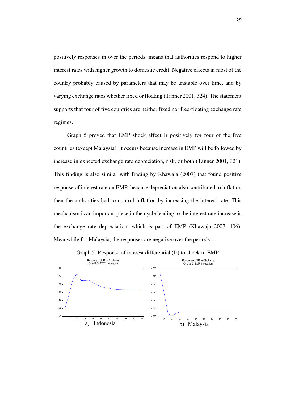positively responses in over the periods, means that authorities respond to higher interest rates with higher growth to domestic credit. Negative effects in most of the country probably caused by parameters that may be unstable over time, and by varying exchange rates whether fixed or floating (Tanner 2001, 324). The statement supports that four of five countries are neither fixed nor free-floating exchange rate regimes.

 Graph 5 proved that EMP shock affect Ir positively for four of the five countries (except Malaysia). It occurs because increase in EMP will be followed by increase in expected exchange rate depreciation, risk, or both (Tanner 2001, 321). This finding is also similar with finding by Khawaja (2007) that found positive response of interest rate on EMP, because depreciation also contributed to inflation then the authorities had to control inflation by increasing the interest rate. This mechanism is an important piece in the cycle leading to the interest rate increase is the exchange rate depreciation, which is part of EMP (Khawaja 2007, 106). Meanwhile for Malaysia, the responses are negative over the periods.



Graph 5. Response of interest differential (Ir) to shock to EMP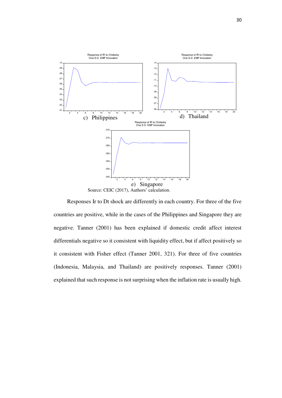

Source: CEIC (2017), Authors' calculation.

 Responses Ir to Dt shock are differently in each country. For three of the five countries are positive, while in the cases of the Philippines and Singapore they are negative. Tanner (2001) has been explained if domestic credit affect interest differentials negative so it consistent with liquidity effect, but if affect positively so it consistent with Fisher effect (Tanner 2001, 321). For three of five countries (Indonesia, Malaysia, and Thailand) are positively responses. Tanner (2001) explained that such response is not surprising when the inflation rate is usually high.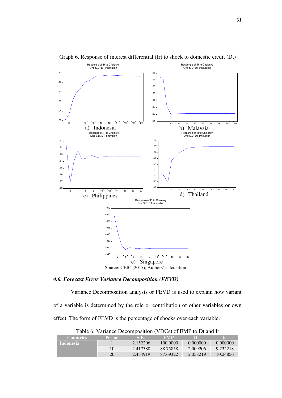

Graph 6. Response of interest differential (Ir) to shock to domestic credit (Dt)

*4.6. Forecast Error Variance Decomposition (FEVD)* 

Variance Decomposition analysis or FEVD is used to explain how variant of a variable is determined by the role or contribution of other variables or own effect. The form of FEVD is the percentage of shocks over each variable.

| Twore $\sigma$ . Turnance <i>Decomposition</i> (TDCs) of Earth to Detail in |               |          |          |          |          |  |  |
|-----------------------------------------------------------------------------|---------------|----------|----------|----------|----------|--|--|
| <b>Countries</b>                                                            | <b>Period</b> | S.E.     | EMP      | I DF.    | l r      |  |  |
| <b>Indonesia</b>                                                            |               | 2.152206 | 100.0000 | 0.000000 | 0.000000 |  |  |
|                                                                             | 10            | 2.417388 | 88.75858 | 2.009206 | 9.232218 |  |  |
|                                                                             | 20            | 2.434919 | 87.69322 | 2.058219 | 10.24856 |  |  |

Table 6. Variance Decomposition (VDCs) of EMP to Dt and Ir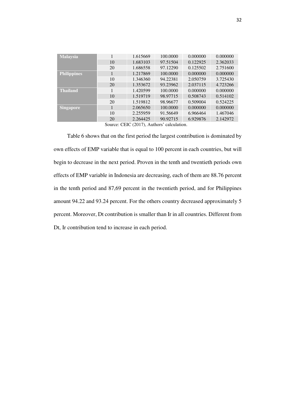| <b>Malaysia</b>    | 1  | 1.615669 | 100.0000 | 0.000000 | 0.000000 |
|--------------------|----|----------|----------|----------|----------|
|                    | 10 | 1.683103 | 97.51504 | 0.122925 | 2.362033 |
|                    | 20 | 1.686558 | 97.12290 | 0.125502 | 2.751600 |
| <b>Philippines</b> | 1  | 1.217869 | 100.0000 | 0.000000 | 0.000000 |
|                    | 10 | 1.346360 | 94.22381 | 2.050759 | 3.725430 |
|                    | 20 | 1.353672 | 93.23962 | 2.037115 | 4.723266 |
| <b>Thailand</b>    | 1  | 1.420599 | 100.0000 | 0.000000 | 0.000000 |
|                    | 10 | 1.519719 | 98.97715 | 0.508743 | 0.514102 |
|                    | 20 | 1.519812 | 98.96677 | 0.509004 | 0.524225 |
| Singapore          | 1  | 2.065650 | 100.0000 | 0.000000 | 0.000000 |
|                    | 10 | 2.255959 | 91.56649 | 6.966464 | 1.467046 |
|                    | 20 | 2.264425 | 90.92715 | 6.929876 | 2.142972 |

Source: CEIC (2017), Authors' calculation.

 Table 6 shows that on the first period the largest contribution is dominated by own effects of EMP variable that is equal to 100 percent in each countries, but will begin to decrease in the next period. Proven in the tenth and twentieth periods own effects of EMP variable in Indonesia are decreasing, each of them are 88.76 percent in the tenth period and 87,69 percent in the twentieth period, and for Philippines amount 94.22 and 93.24 percent. For the others country decreased approximately 5 percent. Moreover, Dt contribution is smaller than Ir in all countries. Different from Dt, Ir contribution tend to increase in each period.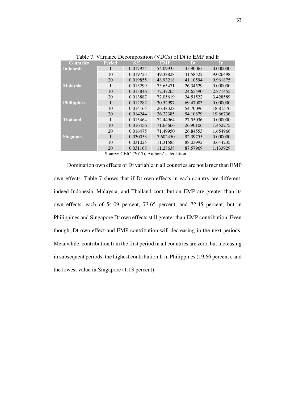| <b>Countries</b>   | <b>Period</b> | S.E.     | <b>EMP</b> | Dt       | Ir       |
|--------------------|---------------|----------|------------|----------|----------|
| <b>Indonesia</b>   |               | 0.017924 | 54.09935   | 45.90065 | 0.000000 |
|                    | 10            | 0.019723 | 49.38828   | 41.58522 | 9.026498 |
|                    | 20            | 0.019855 | 48.93218   | 41.10594 | 9.961875 |
| <b>Malaysia</b>    | 1             | 0.013299 | 73.65471   | 26.34529 | 0.000000 |
|                    | 10            | 0.013846 | 72.47265   | 24.65590 | 2.871455 |
|                    | 20            | 0.013887 | 72.05619   | 24.51522 | 3.428589 |
| <b>Philippines</b> | 1             | 0.012282 | 30.52997   | 69.47003 | 0.000000 |
|                    | 10            | 0.014165 | 26.48328   | 54.70096 | 18.81576 |
|                    | 20            | 0.014244 | 26.22385   | 54.10879 | 19.66736 |
| <b>Thailand</b>    | 1             | 0.015464 | 72.44964   | 27.55036 | 0.000000 |
|                    | 10            | 0.016456 | 71.64666   | 26.90106 | 1.452275 |
|                    | 20            | 0.016475 | 71.49950   | 26.84553 | 1.654966 |
| <b>Singapore</b>   | 1             | 0.030053 | 7.602450   | 92.39755 | 0.000000 |
|                    | 10            | 0.031025 | 11.31585   | 88.03992 | 0.644235 |
|                    | 20            | 0.031108 | 11.28638   | 87.57969 | 1.133929 |
|                    |               |          |            |          |          |

Table 7. Variance Decomposition (VDCs) of Dt to EMP and Ir

Source: CEIC (2017), Authors' calculation.

 Domination own effects of Dt variable in all countries are not larger than EMP own effects. Table 7 shows that if Dt own effects in each country are different, indeed Indonesia, Malaysia, and Thailand contribution EMP are greater than its own effects, each of 54.09 percent, 73.65 percent, and 72.45 percent, but in Philippines and Singapore Dt own effects still greater than EMP contribution. Even though, Dt own effect and EMP contribution will decreasing in the next periods. Meanwhile, contribution Ir in the first period in all countries are zero, but increasing in subsequent periods, the highest contribution Ir in Philippines (19,66 percent), and the lowest value in Singapore (1.13 percent).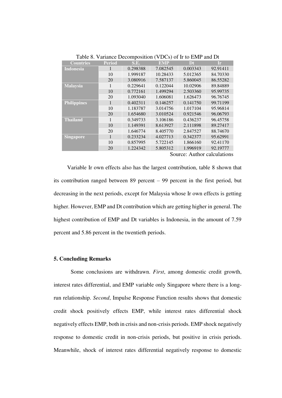| <b>Countries</b>   | <b>Period</b> | S.E.     | <b>EMP</b> | Dt       | <b>Ir</b> |
|--------------------|---------------|----------|------------|----------|-----------|
| <b>Indonesia</b>   | 1             | 0.298388 | 7.082545   | 0.003343 | 92.91411  |
|                    | 10            | 1.999187 | 10.28433   | 5.012365 | 84.70330  |
|                    | 20            | 3.080916 | 7.587137   | 5.860045 | 86.55282  |
| <b>Malaysia</b>    | 1             | 0.229641 | 0.122044   | 10.02906 | 89.84889  |
|                    | 10            | 0.772161 | 1.499294   | 2.503360 | 95.99735  |
|                    | 20            | 1.093040 | 1.606081   | 1.626473 | 96.76745  |
| <b>Philippines</b> | 1             | 0.402311 | 0.146257   | 0.141750 | 99.71199  |
|                    | 10            | 1.183787 | 3.014756   | 1.017104 | 95.96814  |
|                    | 20            | 1.654680 | 3.010524   | 0.921546 | 96.06793  |
| <b>Thailand</b>    | 1             | 0.349733 | 3.106186   | 0.436237 | 96.45758  |
|                    | 10            | 1.149391 | 8.613927   | 2.111898 | 89.27417  |
|                    | 20            | 1.646774 | 8.405770   | 2.847527 | 88.74670  |
| <b>Singapore</b>   | 1             | 0.233234 | 4.027713   | 0.342377 | 95.62991  |
|                    | 10            | 0.857995 | 5.722145   | 1.866160 | 92.41170  |
|                    | 20            | 1.224342 | 5.805312   | 1.996919 | 92.19777  |

Table 8. Variance Decomposition (VDCs) of Ir to EMP and Dt

Source: Author calculations

 Variable Ir own effects also has the largest contribution, table 8 shown that its contribution ranged between 89 percent – 99 percent in the first period, but decreasing in the next periods, except for Malaysia whose Ir own effects is getting higher. However, EMP and Dt contribution which are getting higher in general. The highest contribution of EMP and Dt variables is Indonesia, in the amount of 7.59 percent and 5.86 percent in the twentieth periods.

#### **5. Concluding Remarks**

Some conclusions are withdrawn. *First*, among domestic credit growth, interest rates differential, and EMP variable only Singapore where there is a longrun relationship. *Second*, Impulse Response Function results shows that domestic credit shock positively effects EMP, while interest rates differential shock negatively effects EMP, both in crisis and non-crisis periods. EMP shock negatively response to domestic credit in non-crisis periods, but positive in crisis periods. Meanwhile, shock of interest rates differential negatively response to domestic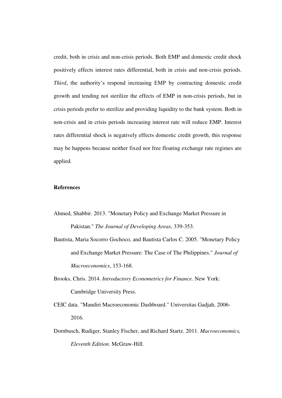credit, both in crisis and non-crisis periods. Both EMP and domestic credit shock positively effects interest rates differential, both in crisis and non-crisis periods. *Third*, the authority's respond increasing EMP by contracting domestic credit growth and tending not sterilize the effects of EMP in non-crisis periods, but in crisis periods prefer to sterilize and providing liquidity to the bank system. Both in non-crisis and in crisis periods increasing interest rate will reduce EMP. Interest rates differential shock is negatively effects domestic credit growth, this response may be happens because neither fixed nor free floating exchange rate regimes are applied.

#### **References**

- Ahmed, Shabbir. 2013. "Monetary Policy and Exchange Market Pressure in Pakistan." *The Journal of Developing Areas*, 339-353.
- Bautista, Maria Socorro Gochoco, and Bautista Carlos C. 2005. "Monetary Policy and Exchange Market Pressure: The Case of The Philippines." *Journal of Macroeconomics*, 153-168.
- Brooks, Chris. 2014. *Introductory Econometrics for Finance.* New York: Cambridge University Press.
- CEIC data. "Mandiri Macroeconomic Dashboard." Universitas Gadjah, 2006- 2016.
- Dornbusch, Rudiger, Stanley Fischer, and Richard Startz. 2011. *Macroeconomics, Eleventh Edition.* McGraw-Hill.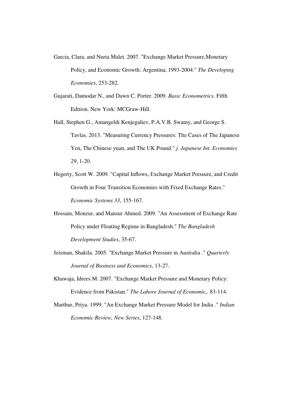- Garcia, Clara, and Nuria Malet. 2007. "Exchange Market Pressure,Monetary Policy, and Economic Growth: Argentina, 1993-2004." *The Developing Economies*, 253-282.
- Gujarati, Damodar N., and Dawn C. Porter. 2009. *Basic Econometrics.* Fifth Edition. New York: MCGraw-Hill.
- Hall, Stephen G., Amangeldi Kenjegaliev, P.A.V.B. Swamy, and George S. Tavlas. 2013. "Measuring Currency Pressures: The Cases of The Japanese Yen, The Chinese yuan, and The UK Pound." *j. Japanese Int. Economies 29*, 1-20.
- Hegerty, Scott W. 2009. "Capital Inflows, Exchange Market Pressure, and Credit Growth in Four Transition Economies with Fixed Exchange Rates." *Economic Systems 33*, 155-167.
- Hossain, Monzur, and Mansur Ahmed. 2009. "An Assessment of Exchange Rate Policy under Floating Regime in Bangladesh." *The Bangladesh Development Studies*, 35-67.
- Jeisman, Shakila. 2005. "Exchange Market Pressure in Australia ." *Quarterly Journal of Business and Economics*, 13-27.
- Khawaja, Idrees M. 2007. "Exchange Market Pressure and Monetary Policy: Evidence from Pakistan." *The Lahore Journal of Economic,.* 83-114.
- Marthur, Priya. 1999. "An Exchange Market Pressure Model for India ." *Indian Economic Review, New Series*, 127-148.